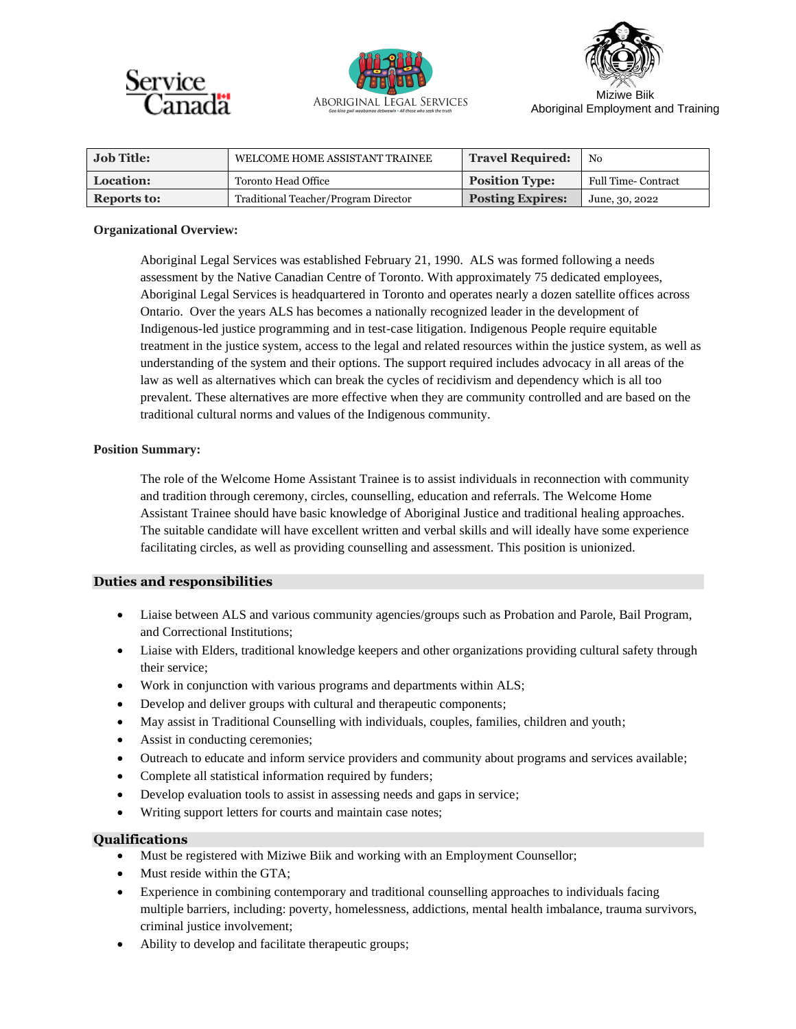





Aboriginal Employment and Training

| <b>Job Title:</b>  | WELCOME HOME ASSISTANT TRAINEE       | <b>Travel Required:</b> | N <sub>0</sub>             |
|--------------------|--------------------------------------|-------------------------|----------------------------|
| <b>Location:</b>   | Toronto Head Office                  | <b>Position Type:</b>   | <b>Full Time- Contract</b> |
| <b>Reports to:</b> | Traditional Teacher/Program Director | <b>Posting Expires:</b> | June, 30, 2022             |

### **Organizational Overview:**

Aboriginal Legal Services was established February 21, 1990. ALS was formed following a needs assessment by the Native Canadian Centre of Toronto. With approximately 75 dedicated employees, Aboriginal Legal Services is headquartered in Toronto and operates nearly a dozen satellite offices across Ontario. Over the years ALS has becomes a nationally recognized leader in the development of Indigenous-led justice programming and in test-case litigation. Indigenous People require equitable treatment in the justice system, access to the legal and related resources within the justice system, as well as understanding of the system and their options. The support required includes advocacy in all areas of the law as well as alternatives which can break the cycles of recidivism and dependency which is all too prevalent. These alternatives are more effective when they are community controlled and are based on the traditional cultural norms and values of the Indigenous community.

# **Position Summary:**

The role of the Welcome Home Assistant Trainee is to assist individuals in reconnection with community and tradition through ceremony, circles, counselling, education and referrals. The Welcome Home Assistant Trainee should have basic knowledge of Aboriginal Justice and traditional healing approaches. The suitable candidate will have excellent written and verbal skills and will ideally have some experience facilitating circles, as well as providing counselling and assessment. This position is unionized.

# **Duties and responsibilities**

- Liaise between ALS and various community agencies/groups such as Probation and Parole, Bail Program, and Correctional Institutions;
- Liaise with Elders, traditional knowledge keepers and other organizations providing cultural safety through their service;
- Work in conjunction with various programs and departments within ALS;
- Develop and deliver groups with cultural and therapeutic components;
- May assist in Traditional Counselling with individuals, couples, families, children and youth;
- Assist in conducting ceremonies;
- Outreach to educate and inform service providers and community about programs and services available;
- Complete all statistical information required by funders;
- Develop evaluation tools to assist in assessing needs and gaps in service;
- Writing support letters for courts and maintain case notes;

# **Qualifications**

- Must be registered with Miziwe Biik and working with an Employment Counsellor;
- Must reside within the GTA;
- Experience in combining contemporary and traditional counselling approaches to individuals facing multiple barriers, including: poverty, homelessness, addictions, mental health imbalance, trauma survivors, criminal justice involvement;
- Ability to develop and facilitate therapeutic groups;